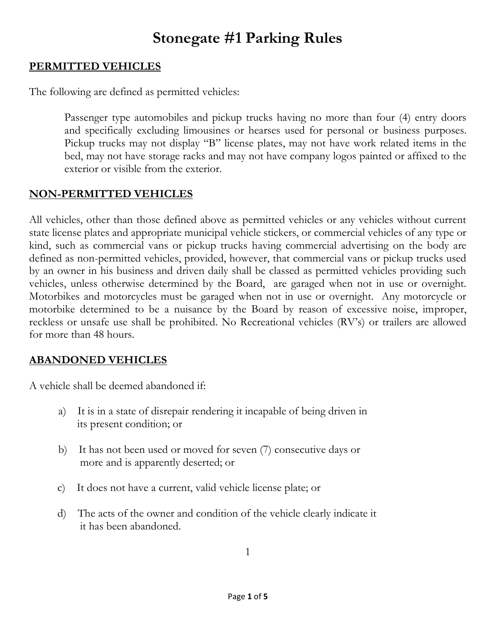# **Stonegate #1 Parking Rules**

#### **PERMITTED VEHICLES**

The following are defined as permitted vehicles:

Passenger type automobiles and pickup trucks having no more than four (4) entry doors and specifically excluding limousines or hearses used for personal or business purposes. Pickup trucks may not display "B" license plates, may not have work related items in the bed, may not have storage racks and may not have company logos painted or affixed to the exterior or visible from the exterior.

#### **NON-PERMITTED VEHICLES**

All vehicles, other than those defined above as permitted vehicles or any vehicles without current state license plates and appropriate municipal vehicle stickers, or commercial vehicles of any type or kind, such as commercial vans or pickup trucks having commercial advertising on the body are defined as non-permitted vehicles, provided, however, that commercial vans or pickup trucks used by an owner in his business and driven daily shall be classed as permitted vehicles providing such vehicles, unless otherwise determined by the Board, are garaged when not in use or overnight. Motorbikes and motorcycles must be garaged when not in use or overnight. Any motorcycle or motorbike determined to be a nuisance by the Board by reason of excessive noise, improper, reckless or unsafe use shall be prohibited. No Recreational vehicles (RV's) or trailers are allowed for more than 48 hours.

### **ABANDONED VEHICLES**

A vehicle shall be deemed abandoned if:

- a) It is in a state of disrepair rendering it incapable of being driven in its present condition; or
- b) It has not been used or moved for seven (7) consecutive days or more and is apparently deserted; or
- c) It does not have a current, valid vehicle license plate; or
- d) The acts of the owner and condition of the vehicle clearly indicate it it has been abandoned.

1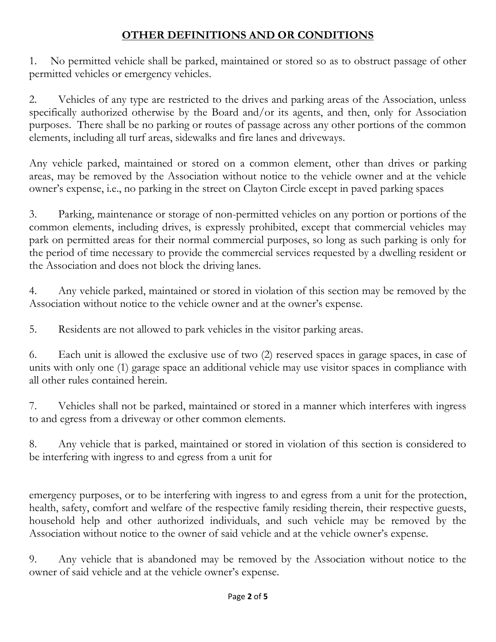## **OTHER DEFINITIONS AND OR CONDITIONS**

1. No permitted vehicle shall be parked, maintained or stored so as to obstruct passage of other permitted vehicles or emergency vehicles.

2. Vehicles of any type are restricted to the drives and parking areas of the Association, unless specifically authorized otherwise by the Board and/or its agents, and then, only for Association purposes. There shall be no parking or routes of passage across any other portions of the common elements, including all turf areas, sidewalks and fire lanes and driveways.

Any vehicle parked, maintained or stored on a common element, other than drives or parking areas, may be removed by the Association without notice to the vehicle owner and at the vehicle owner's expense, i.e., no parking in the street on Clayton Circle except in paved parking spaces

3. Parking, maintenance or storage of non-permitted vehicles on any portion or portions of the common elements, including drives, is expressly prohibited, except that commercial vehicles may park on permitted areas for their normal commercial purposes, so long as such parking is only for the period of time necessary to provide the commercial services requested by a dwelling resident or the Association and does not block the driving lanes.

4. Any vehicle parked, maintained or stored in violation of this section may be removed by the Association without notice to the vehicle owner and at the owner's expense.

5. Residents are not allowed to park vehicles in the visitor parking areas.

6. Each unit is allowed the exclusive use of two (2) reserved spaces in garage spaces, in case of units with only one (1) garage space an additional vehicle may use visitor spaces in compliance with all other rules contained herein.

7. Vehicles shall not be parked, maintained or stored in a manner which interferes with ingress to and egress from a driveway or other common elements.

8. Any vehicle that is parked, maintained or stored in violation of this section is considered to be interfering with ingress to and egress from a unit for

emergency purposes, or to be interfering with ingress to and egress from a unit for the protection, health, safety, comfort and welfare of the respective family residing therein, their respective guests, household help and other authorized individuals, and such vehicle may be removed by the Association without notice to the owner of said vehicle and at the vehicle owner's expense.

9. Any vehicle that is abandoned may be removed by the Association without notice to the owner of said vehicle and at the vehicle owner's expense.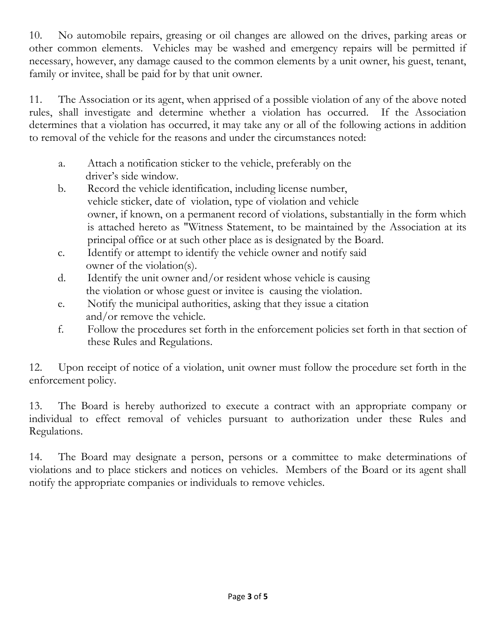10. No automobile repairs, greasing or oil changes are allowed on the drives, parking areas or other common elements. Vehicles may be washed and emergency repairs will be permitted if necessary, however, any damage caused to the common elements by a unit owner, his guest, tenant, family or invitee, shall be paid for by that unit owner.

11. The Association or its agent, when apprised of a possible violation of any of the above noted rules, shall investigate and determine whether a violation has occurred. If the Association determines that a violation has occurred, it may take any or all of the following actions in addition to removal of the vehicle for the reasons and under the circumstances noted:

- a. Attach a notification sticker to the vehicle, preferably on the driver's side window.
- b. Record the vehicle identification, including license number, vehicle sticker, date of violation, type of violation and vehicle owner, if known, on a permanent record of violations, substantially in the form which is attached hereto as "Witness Statement, to be maintained by the Association at its principal office or at such other place as is designated by the Board.
- c. Identify or attempt to identify the vehicle owner and notify said owner of the violation(s).
- d. Identify the unit owner and/or resident whose vehicle is causing the violation or whose guest or invitee is causing the violation.
- e. Notify the municipal authorities, asking that they issue a citation and/or remove the vehicle.
- f. Follow the procedures set forth in the enforcement policies set forth in that section of these Rules and Regulations.

12. Upon receipt of notice of a violation, unit owner must follow the procedure set forth in the enforcement policy.

13. The Board is hereby authorized to execute a contract with an appropriate company or individual to effect removal of vehicles pursuant to authorization under these Rules and Regulations.

14. The Board may designate a person, persons or a committee to make determinations of violations and to place stickers and notices on vehicles. Members of the Board or its agent shall notify the appropriate companies or individuals to remove vehicles.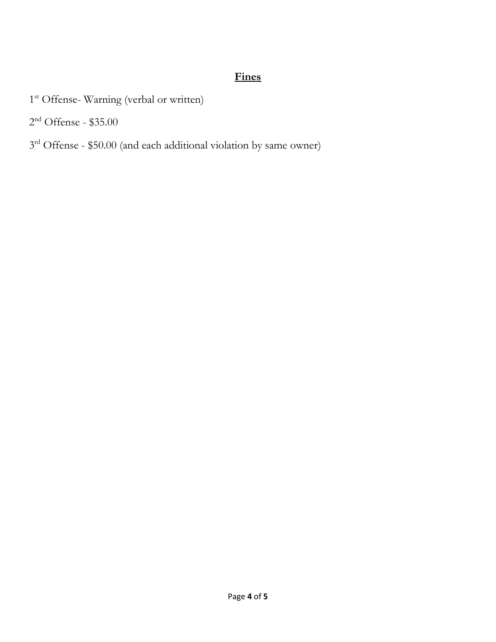## **Fines**

- 1<sup>st</sup> Offense- Warning (verbal or written)
- $2<sup>nd</sup>$  Offense \$35.00
- 3<sup>rd</sup> Offense \$50.00 (and each additional violation by same owner)